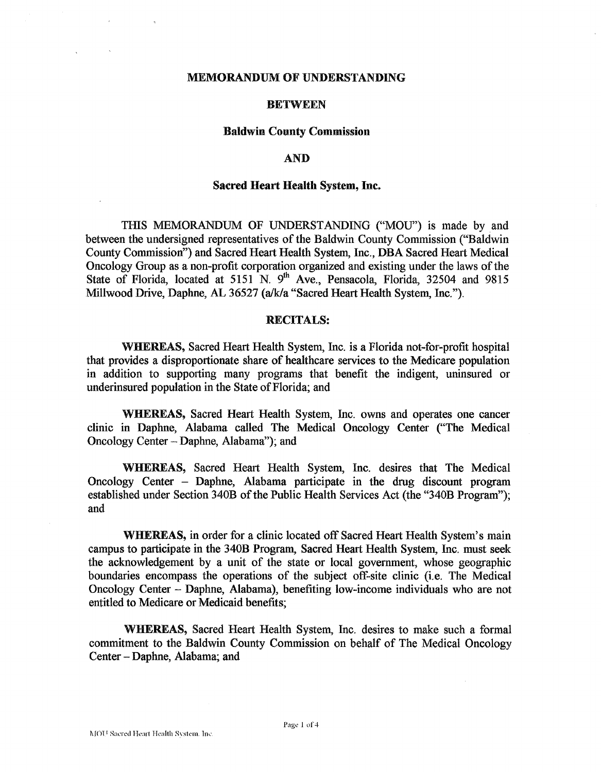#### **MEMORANDUM OF UNDERSTANDING**

### **BETWEEN**

#### **Baldwin County Commission**

## **AND**

#### **Sacred Heart Health System, hc,**

THIS MEMORANDUM OF UNDERSTANDING ("MOU") is made by and between the undersigned representatives of the Baldwin County Commission ("'Baldwin County Commission") and Sacred Heart Health System, Inc., DBA Sacred Heart Medical Oncology Group as a non-profit corporation organized and existing under the laws of the State of Florida, located at 5151 N. 9<sup>th</sup> Ave., Pensacola, Florida, 32504 and 9815 Millwood Drive, Daphne, AL 36527 (a/k/a "Sacred Heart Health System, Inc.").

## **RECITALS:**

**WHEWEAS,** Sacred Heart Health System, **Inc.** is a Florida not-for-profit hospital that provides a disproportionate share of healthcare services to the Medicare population in addition to supporting many programs that benefit the indigent, uninsured or underinsured population in the State of Florida; and

**%WEWEAS,** Sacred Heart Health System, Inc. owns and operates one cancer clinic in Daphne, Alabama called The Medical Oncology Center ("The Medical Oncology Center - Daphne, Alabama"); and

WHEREAS, Sacred Heart Health System, Inc. desires that The Medical Oncology Center - Daphne, Alabama participate in the drug discount program established under Section 34OB of the Public Health Services Act (the "34OB Program"); and

**WHEREAS,** in order for a clinic located off Sacred Heart Health System's main campus to participate in the 340B Program, Sacred Heart Health System, Inc. must seek the acknowledgement by a unit of the state or local government, whose geographic boundaries encompass the operations of the subject off-site clinic (i.e. The Medical Oncology Center - Daphne, Alabama), benefiting low-income individuals who are not entitled to Medicare or Medicaid benefits;

WHEREAS, Sacred Heart Health System, Inc. desires to make such a formal commitment to the Baldwin County Commission on behalf of The Medical Oncology Center - Daphne, Alabama; and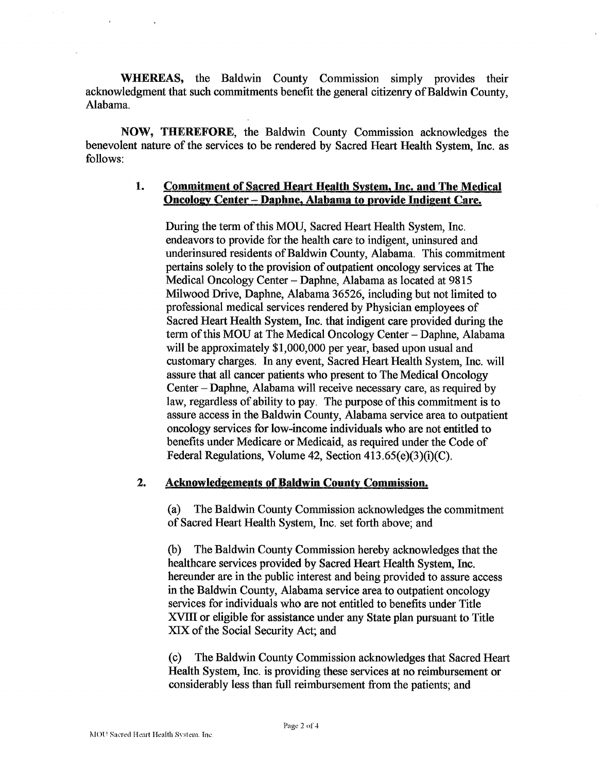WHEREAS, the Baldwin County Commission simply provides their acknowledgment that such commitments benefit the general citizenry of Baldwin County, Alabama.

**NOW, THEREFORE,** the Baldwin County Commission acknowledges the benevolent nature of the services to be rendered by Sacred Heart Health System, Inc. as follows:

## **1. Commitment of Sacred Heart Health Svstem, hc. and The Medical Oncology Center – Daphne, Alabama to provide Indigent Care.**

During the term of this MOU, Sacred Heart Health System, Inc. endeavors to provide for the health care to indigent, uninsured and underinsured residents of Baldwin County, Alabama. This commitment pertains solely to the provision of outpatient oncology services at The Medical Oncology Center - Daphne, Alabama as located at 9815 Milwood Drive, Daphne, Alabama 36526, including but not limited to professional medical services rendered by Physician employees of Sacred Heart Health System, Inc. that indigent care provided during the term of this MOU at The Medical Oncology Center - Daphne, Alabama will be approximately \$1,000,000 per year, based upon usual and customary charges. In any event, Sacred Heart Health System, Inc. will assure that all cancer patients who present to The Medical Oncology Center -Daphne, Alabama will receive necessary care, as required by law, regardless of ability to pay. The purpose of this commitment is to assure access in the Baldwin County, Alabama service area to outpatient oncology services for low-income individuals who are not entitled to benefits under Medicare or Medicaid, as required under the Code of Federal Regulations, Volume 42, Section 413.65(e)(3)(i)(C).

## 2. Acknowledgements of Baldwin County Commission.

(a) The Baldwin County Commission acknowledges the commitment of Sacred Heart Health System, Inc. set forth above; and

(b) The Baldwin County Commission hereby acknowledges that the healthcare services provided by Sacred Heart Health System, Inc. hereunder are in the public interest and being provided to assure access in the Baldwin County, Alabama service area to outpatient oncology services for individuals who are not entitled to benefits under Title XVIII or eligible for assistance under any State plan pursuant to Title XIX of the Social Security Act; and

(c) The Baldwin County Commission acknowledges that Sacred Heart Health System, Inc. is providing these services at no reimbursement or considerably less than full reimbursement from the patients; and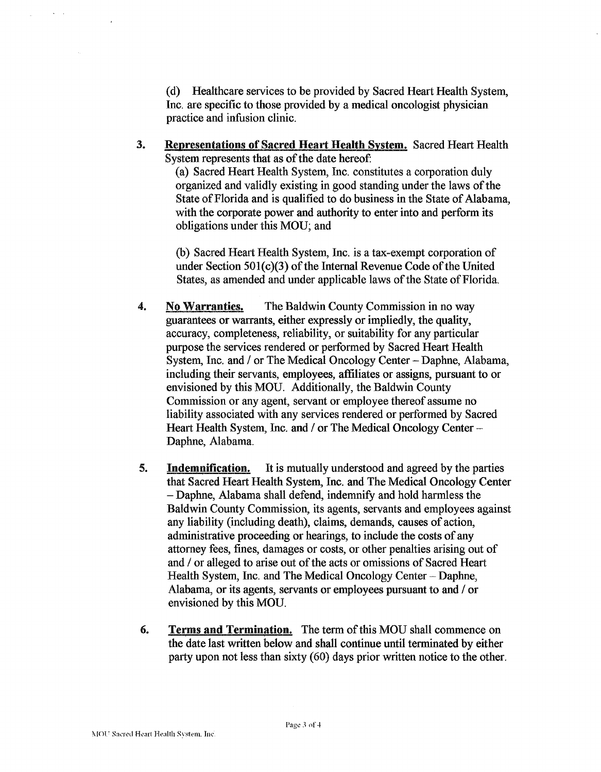(d) Healthcare services to be provided by Sacred Heart Health System, **Inc.** are specific to those provided by a medical oncologist physician practice and infusion clinic.

3. Representations of Sacred Heart Health System. Sacred Heart Health System represents that as of the date hereof:

> (a) Sacred Heart Health System, Inc. constitutes a corporation duly organized and validly existing in good standing under the laws of the State of Florida and is qualified to do business in the State of Alabama, with the corporate power and authority to enter into and perform its obligations under this MOU; and

(b) Sacred Heart Health System, Inc. is a tax-exempt corporation of under Section  $501(c)(3)$  of the Internal Revenue Code of the United States, as amended and under applicable laws of the State of Florida.

- **4. No Warranties.** The Baldwin County Commission in no way guarantees or warrants, either expressly or impliedly, the quality, accuracy, completeness, reliability, or suitability for any particular purpose the services rendered or performed by Sacred Heart Health System, Inc. and / or The Medical Oncology Center - Daphne, Alabama, including their servants, employees, affiliates or assigns, pursuant to or envisioned by this MOU. Additionally, the Baldwin County Commission or any agent, servant or employee thereof assume no liability associated with any services rendered or performed by Sacred Heart Health System, Inc. and / or The Medical Oncology Center -Daphne, Alabama.
- **5. Indemnification.** It is mutually understood and agreed by the parties that Sacred Heart Health System, **Inc.** and The Medical Oncology Center - Daphne, Alabama shall defend, indemnify and hold harmless the Baldwin County Commission, its agents, servants and employees against any liability (including death), claims, demands, causes of action, administrative proceeding or hearings, to include the costs of any attorney fees, fines, damages or costs, or other penalties arising out of and / or alleged to arise out of the acts or omissions of Sacred Heart Health System, Inc. and The Medical Oncology Center - Daphne, Alabama, or its agents, servants or employees pursuant to and / or envisioned by this MOU.
- **4. Terms and Termination.** The term of this MOU shall commence on the date last written below and shall continue until terminated by either party upon not less than sixty (60) days prior written notice to the other.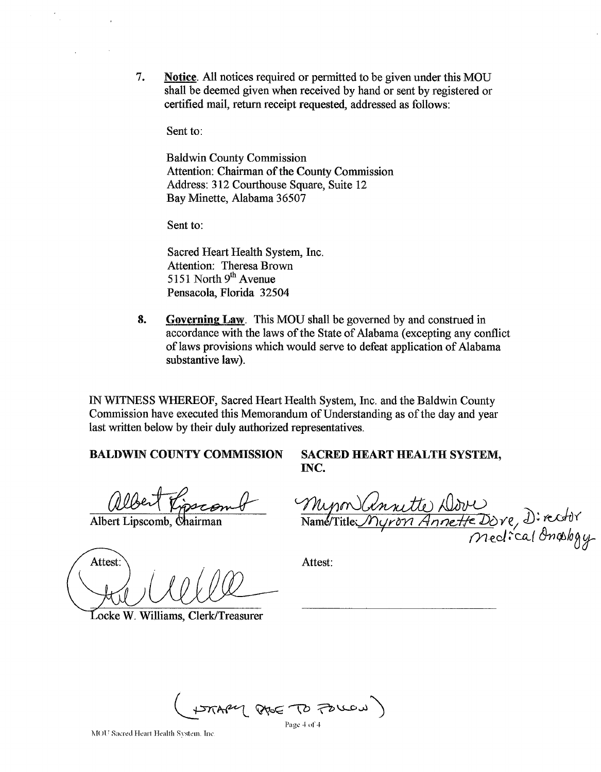*9.* **Notice.** All notices required or permitted to be given under this MOU shall be deemed given when received by hand or sent by registered or certified mail, return receipt requested, addressed as follows:

Sent to:

Baldwin County Commission Attention: Chairman of the County Commission Address: **3** 12 Courthouse Square, Suite 12 Bay Minette, Alabama 36507

Sent to:

Sacred Heart Health System, Inc. Attention: Theresa Brown 5 1 **5** 1 North **9th** Avenue Pensacola, Florida 32504

**8. Governing Law.** This MOU shall be governed by and construed in accordance with the laws of the State of Alabama (excepting any conflict of laws provisions which would serve to defeat application of Alabama substantive law). 7. Sailtz All matics required on permitted to be given under this MOU<br>
dial to docal of piece when received by band or sure by registered on<br>
certifical unit, receive received, addressed as follows.<br>
The diversity communi

IN WITNESS WHEREOF, Sacred Heart Health System, Inc. and the Baldwin County Commission have executed this Memorandum of Understanding as of the day and year last written below by their duly authorized representatives.